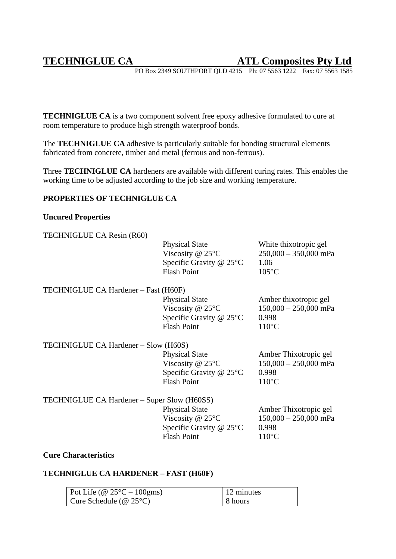# **TECHNIGLUE CA ATL Composites Pty Ltd**

PO Box 2349 SOUTHPORT QLD 4215 Ph: 07 5563 1222 Fax: 07 5563 1585

**TECHNIGLUE CA** is a two component solvent free epoxy adhesive formulated to cure at room temperature to produce high strength waterproof bonds.

The **TECHNIGLUE CA** adhesive is particularly suitable for bonding structural elements fabricated from concrete, timber and metal (ferrous and non-ferrous).

Three **TECHNIGLUE CA** hardeners are available with different curing rates. This enables the working time to be adjusted according to the job size and working temperature.

# **PROPERTIES OF TECHNIGLUE CA**

## **Uncured Properties**

| TECHNIGLUE CA Resin (R60)                   |                                                                                                           |                                                                              |
|---------------------------------------------|-----------------------------------------------------------------------------------------------------------|------------------------------------------------------------------------------|
|                                             | <b>Physical State</b><br>Viscosity @ $25^{\circ}$ C<br>Specific Gravity $@$ 25 $°C$<br><b>Flash Point</b> | White thixotropic gel<br>$250,000 - 350,000$ mPa<br>1.06<br>$105^{\circ}$ C  |
| TECHNIGLUE CA Hardener – Fast (H60F)        |                                                                                                           |                                                                              |
|                                             | <b>Physical State</b><br>Viscosity @ $25^{\circ}$ C<br>Specific Gravity @ 25°C<br><b>Flash Point</b>      | Amber thixotropic gel<br>$150,000 - 250,000$ mPa<br>0.998<br>$110^{\circ}$ C |
| TECHNIGLUE CA Hardener - Slow (H60S)        |                                                                                                           |                                                                              |
|                                             | <b>Physical State</b><br>Viscosity $@$ 25 $°C$<br>Specific Gravity $@$ 25 $°C$<br><b>Flash Point</b>      | Amber Thixotropic gel<br>$150,000 - 250,000$ mPa<br>0.998<br>$110^{\circ}$ C |
| TECHNIGLUE CA Hardener – Super Slow (H60SS) |                                                                                                           |                                                                              |
|                                             | <b>Physical State</b>                                                                                     | Amber Thixotropic gel                                                        |
|                                             | Viscosity $@ 25°C$                                                                                        | $150,000 - 250,000$ mPa                                                      |
|                                             | Specific Gravity $@$ 25 $°C$                                                                              | 0.998                                                                        |
|                                             | <b>Flash Point</b>                                                                                        | $110^{\circ}$ C                                                              |

## **Cure Characteristics**

# **TECHNIGLUE CA HARDENER – FAST (H60F)**

| Pot Life (@ $25^{\circ}$ C – 100gms) | 12 minutes |
|--------------------------------------|------------|
| Cure Schedule ( $@ 25°C$ )           | 8 hours    |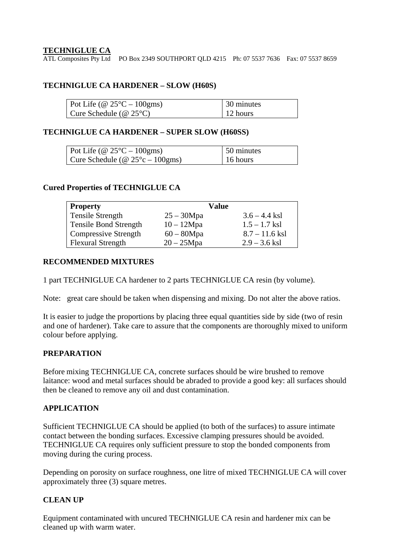# **TECHNIGLUE CA**

ATL Composites Pty Ltd PO Box 2349 SOUTHPORT QLD 4215 Ph: 07 5537 7636 Fax: 07 5537 8659

# **TECHNIGLUE CA HARDENER – SLOW (H60S)**

| Pot Life (@ $25^{\circ}$ C – 100gms) | 30 minutes |
|--------------------------------------|------------|
| Cure Schedule ( $@ 25°C$ )           | 12 hours   |

#### **TECHNIGLUE CA HARDENER – SUPER SLOW (H60SS)**

| Pot Life (@ $25^{\circ}$ C – 100gms)       | 50 minutes       |
|--------------------------------------------|------------------|
| Cure Schedule ( $@ 25^{\circ}c - 100gms$ ) | $\vert$ 16 hours |

#### **Cured Properties of TECHNIGLUE CA**

| <b>Property</b>              | Value         |                  |
|------------------------------|---------------|------------------|
| Tensile Strength             | $25 - 30Mpa$  | $3.6 - 4.4$ ksl  |
| <b>Tensile Bond Strength</b> | $10 - 12Mpa$  | $1.5 - 1.7$ ksl  |
| <b>Compressive Strength</b>  | $60 - 80$ Mpa | $8.7 - 11.6$ ksl |
| <b>Flexural Strength</b>     | $20 - 25Mpa$  | $2.9 - 3.6$ ksl  |

## **RECOMMENDED MIXTURES**

1 part TECHNIGLUE CA hardener to 2 parts TECHNIGLUE CA resin (by volume).

Note: great care should be taken when dispensing and mixing. Do not alter the above ratios.

It is easier to judge the proportions by placing three equal quantities side by side (two of resin and one of hardener). Take care to assure that the components are thoroughly mixed to uniform colour before applying.

## **PREPARATION**

Before mixing TECHNIGLUE CA, concrete surfaces should be wire brushed to remove laitance: wood and metal surfaces should be abraded to provide a good key: all surfaces should then be cleaned to remove any oil and dust contamination.

#### **APPLICATION**

Sufficient TECHNIGLUE CA should be applied (to both of the surfaces) to assure intimate contact between the bonding surfaces. Excessive clamping pressures should be avoided. TECHNIGLUE CA requires only sufficient pressure to stop the bonded components from moving during the curing process.

Depending on porosity on surface roughness, one litre of mixed TECHNIGLUE CA will cover approximately three (3) square metres.

# **CLEAN UP**

Equipment contaminated with uncured TECHNIGLUE CA resin and hardener mix can be cleaned up with warm water.